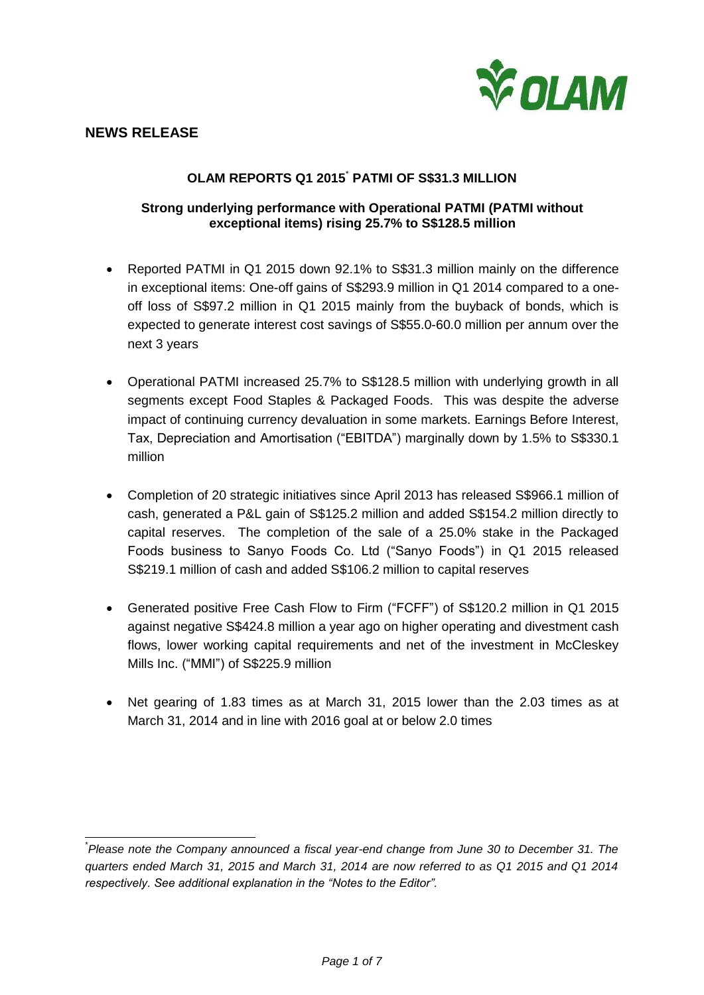

# **OLAM REPORTS Q1 2015**\* **PATMI OF S\$31.3 MILLION**

# **Strong underlying performance with Operational PATMI (PATMI without exceptional items) rising 25.7% to S\$128.5 million**

- Reported PATMI in Q1 2015 down 92.1% to S\$31.3 million mainly on the difference in exceptional items: One-off gains of S\$293.9 million in Q1 2014 compared to a oneoff loss of S\$97.2 million in Q1 2015 mainly from the buyback of bonds, which is expected to generate interest cost savings of S\$55.0-60.0 million per annum over the next 3 years
- Operational PATMI increased 25.7% to S\$128.5 million with underlying growth in all segments except Food Staples & Packaged Foods. This was despite the adverse impact of continuing currency devaluation in some markets. Earnings Before Interest, Tax, Depreciation and Amortisation ("EBITDA") marginally down by 1.5% to S\$330.1 million
- Completion of 20 strategic initiatives since April 2013 has released S\$966.1 million of cash, generated a P&L gain of S\$125.2 million and added S\$154.2 million directly to capital reserves. The completion of the sale of a 25.0% stake in the Packaged Foods business to Sanyo Foods Co. Ltd ("Sanyo Foods") in Q1 2015 released S\$219.1 million of cash and added S\$106.2 million to capital reserves
- Generated positive Free Cash Flow to Firm ("FCFF") of S\$120.2 million in Q1 2015 against negative S\$424.8 million a year ago on higher operating and divestment cash flows, lower working capital requirements and net of the investment in McCleskey Mills Inc. ("MMI") of S\$225.9 million
- Net gearing of 1.83 times as at March 31, 2015 lower than the 2.03 times as at March 31, 2014 and in line with 2016 goal at or below 2.0 times

 $\overline{a}$ \* *Please note the Company announced a fiscal year-end change from June 30 to December 31. The quarters ended March 31, 2015 and March 31, 2014 are now referred to as Q1 2015 and Q1 2014 respectively. See additional explanation in the "Notes to the Editor".*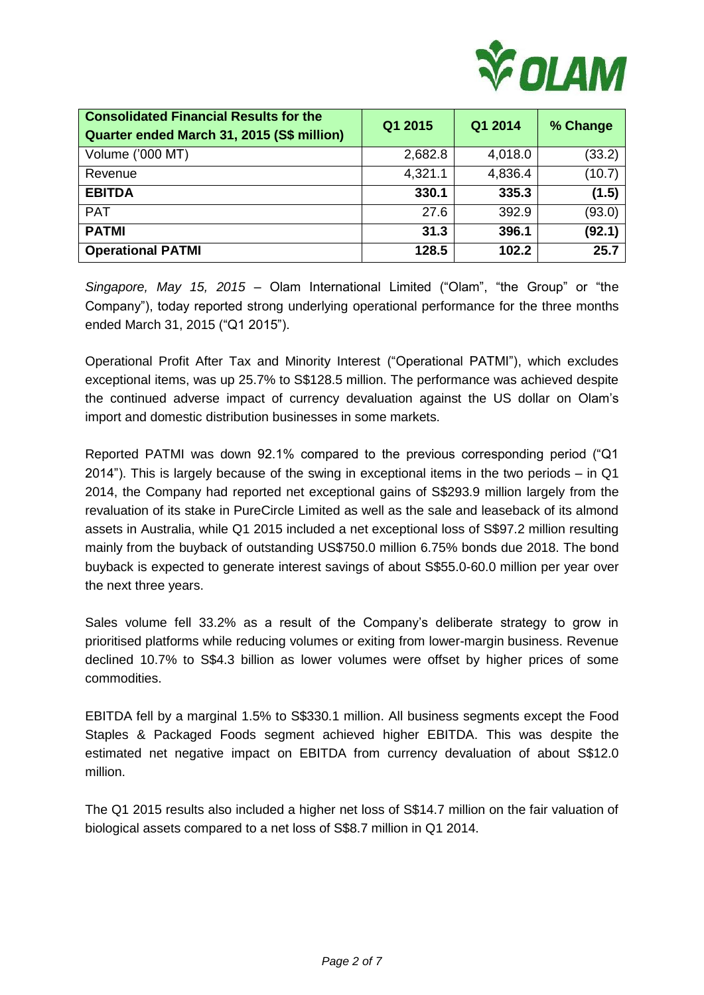

| <b>Consolidated Financial Results for the</b><br>Quarter ended March 31, 2015 (S\$ million) | Q1 2015 | Q1 2014 | % Change |
|---------------------------------------------------------------------------------------------|---------|---------|----------|
| Volume ('000 MT)                                                                            | 2,682.8 | 4,018.0 | (33.2)   |
| Revenue                                                                                     | 4,321.1 | 4,836.4 | (10.7)   |
| <b>EBITDA</b>                                                                               | 330.1   | 335.3   | (1.5)    |
| <b>PAT</b>                                                                                  | 27.6    | 392.9   | (93.0)   |
| <b>PATMI</b>                                                                                | 31.3    | 396.1   | (92.1)   |
| <b>Operational PATMI</b>                                                                    | 128.5   | 102.2   | 25.7     |

*Singapore, May 15, 2015 –* Olam International Limited ("Olam", "the Group" or "the Company"), today reported strong underlying operational performance for the three months ended March 31, 2015 ("Q1 2015").

Operational Profit After Tax and Minority Interest ("Operational PATMI"), which excludes exceptional items, was up 25.7% to S\$128.5 million. The performance was achieved despite the continued adverse impact of currency devaluation against the US dollar on Olam's import and domestic distribution businesses in some markets.

Reported PATMI was down 92.1% compared to the previous corresponding period ("Q1 2014"). This is largely because of the swing in exceptional items in the two periods – in Q1 2014, the Company had reported net exceptional gains of S\$293.9 million largely from the revaluation of its stake in PureCircle Limited as well as the sale and leaseback of its almond assets in Australia, while Q1 2015 included a net exceptional loss of S\$97.2 million resulting mainly from the buyback of outstanding US\$750.0 million 6.75% bonds due 2018. The bond buyback is expected to generate interest savings of about S\$55.0-60.0 million per year over the next three years.

Sales volume fell 33.2% as a result of the Company's deliberate strategy to grow in prioritised platforms while reducing volumes or exiting from lower-margin business. Revenue declined 10.7% to S\$4.3 billion as lower volumes were offset by higher prices of some commodities.

EBITDA fell by a marginal 1.5% to S\$330.1 million. All business segments except the Food Staples & Packaged Foods segment achieved higher EBITDA. This was despite the estimated net negative impact on EBITDA from currency devaluation of about S\$12.0 million.

The Q1 2015 results also included a higher net loss of S\$14.7 million on the fair valuation of biological assets compared to a net loss of S\$8.7 million in Q1 2014.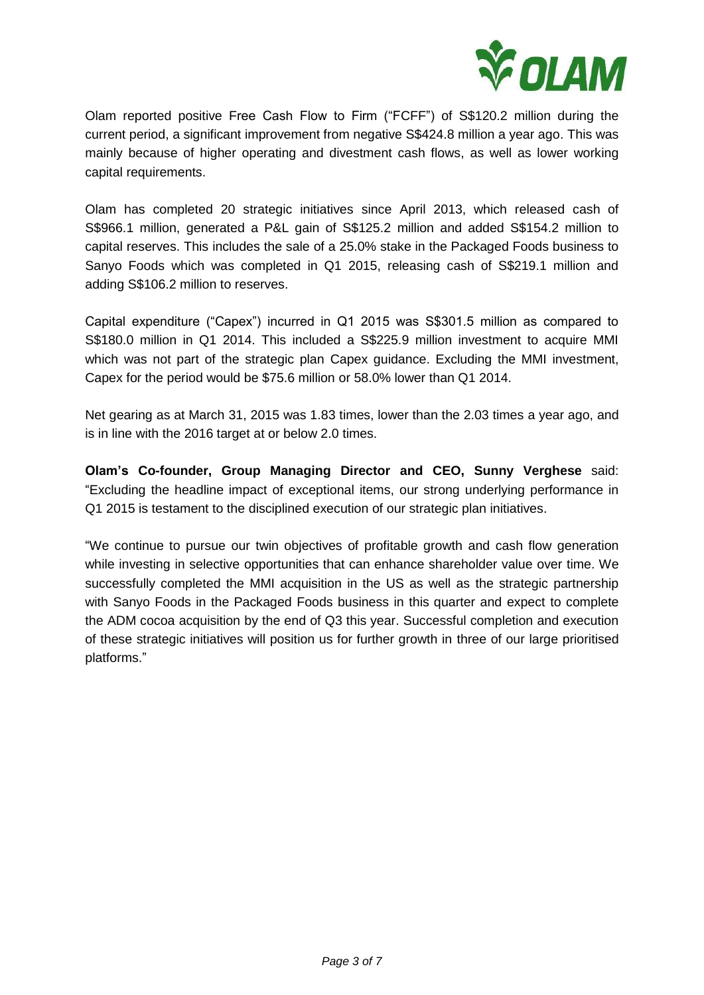

Olam reported positive Free Cash Flow to Firm ("FCFF") of S\$120.2 million during the current period, a significant improvement from negative S\$424.8 million a year ago. This was mainly because of higher operating and divestment cash flows, as well as lower working capital requirements.

Olam has completed 20 strategic initiatives since April 2013, which released cash of S\$966.1 million, generated a P&L gain of S\$125.2 million and added S\$154.2 million to capital reserves. This includes the sale of a 25.0% stake in the Packaged Foods business to Sanyo Foods which was completed in Q1 2015, releasing cash of S\$219.1 million and adding S\$106.2 million to reserves.

Capital expenditure ("Capex") incurred in Q1 2015 was S\$301.5 million as compared to S\$180.0 million in Q1 2014. This included a S\$225.9 million investment to acquire MMI which was not part of the strategic plan Capex guidance. Excluding the MMI investment, Capex for the period would be \$75.6 million or 58.0% lower than Q1 2014.

Net gearing as at March 31, 2015 was 1.83 times, lower than the 2.03 times a year ago, and is in line with the 2016 target at or below 2.0 times.

**Olam's Co-founder, Group Managing Director and CEO, Sunny Verghese** said: "Excluding the headline impact of exceptional items, our strong underlying performance in Q1 2015 is testament to the disciplined execution of our strategic plan initiatives.

"We continue to pursue our twin objectives of profitable growth and cash flow generation while investing in selective opportunities that can enhance shareholder value over time. We successfully completed the MMI acquisition in the US as well as the strategic partnership with Sanyo Foods in the Packaged Foods business in this quarter and expect to complete the ADM cocoa acquisition by the end of Q3 this year. Successful completion and execution of these strategic initiatives will position us for further growth in three of our large prioritised platforms."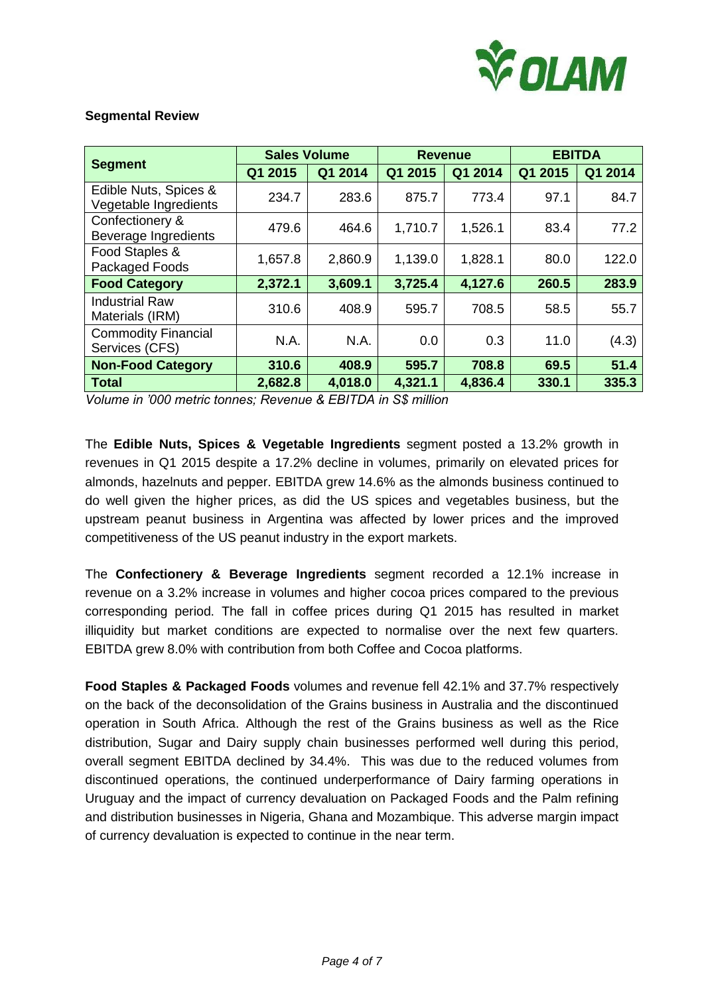

## **Segmental Review**

| <b>Segment</b>                                 | <b>Sales Volume</b> |         | <b>Revenue</b> |         | <b>EBITDA</b> |         |
|------------------------------------------------|---------------------|---------|----------------|---------|---------------|---------|
|                                                | Q1 2015             | Q1 2014 | Q1 2015        | Q1 2014 | Q1 2015       | Q1 2014 |
| Edible Nuts, Spices &<br>Vegetable Ingredients | 234.7               | 283.6   | 875.7          | 773.4   | 97.1          | 84.7    |
| Confectionery &<br>Beverage Ingredients        | 479.6               | 464.6   | 1,710.7        | 1,526.1 | 83.4          | 77.2    |
| Food Staples &<br>Packaged Foods               | 1,657.8             | 2,860.9 | 1,139.0        | 1,828.1 | 80.0          | 122.0   |
| <b>Food Category</b>                           | 2,372.1             | 3,609.1 | 3,725.4        | 4,127.6 | 260.5         | 283.9   |
| <b>Industrial Raw</b><br>Materials (IRM)       | 310.6               | 408.9   | 595.7          | 708.5   | 58.5          | 55.7    |
| <b>Commodity Financial</b><br>Services (CFS)   | N.A.                | N.A.    | 0.0            | 0.3     | 11.0          | (4.3)   |
| <b>Non-Food Category</b>                       | 310.6               | 408.9   | 595.7          | 708.8   | 69.5          | 51.4    |
| <b>Total</b>                                   | 2,682.8             | 4,018.0 | 4,321.1        | 4,836.4 | 330.1         | 335.3   |

*Volume in '000 metric tonnes; Revenue & EBITDA in S\$ million*

The **Edible Nuts, Spices & Vegetable Ingredients** segment posted a 13.2% growth in revenues in Q1 2015 despite a 17.2% decline in volumes, primarily on elevated prices for almonds, hazelnuts and pepper. EBITDA grew 14.6% as the almonds business continued to do well given the higher prices, as did the US spices and vegetables business, but the upstream peanut business in Argentina was affected by lower prices and the improved competitiveness of the US peanut industry in the export markets.

The **Confectionery & Beverage Ingredients** segment recorded a 12.1% increase in revenue on a 3.2% increase in volumes and higher cocoa prices compared to the previous corresponding period. The fall in coffee prices during Q1 2015 has resulted in market illiquidity but market conditions are expected to normalise over the next few quarters. EBITDA grew 8.0% with contribution from both Coffee and Cocoa platforms.

**Food Staples & Packaged Foods** volumes and revenue fell 42.1% and 37.7% respectively on the back of the deconsolidation of the Grains business in Australia and the discontinued operation in South Africa. Although the rest of the Grains business as well as the Rice distribution, Sugar and Dairy supply chain businesses performed well during this period, overall segment EBITDA declined by 34.4%. This was due to the reduced volumes from discontinued operations, the continued underperformance of Dairy farming operations in Uruguay and the impact of currency devaluation on Packaged Foods and the Palm refining and distribution businesses in Nigeria, Ghana and Mozambique. This adverse margin impact of currency devaluation is expected to continue in the near term.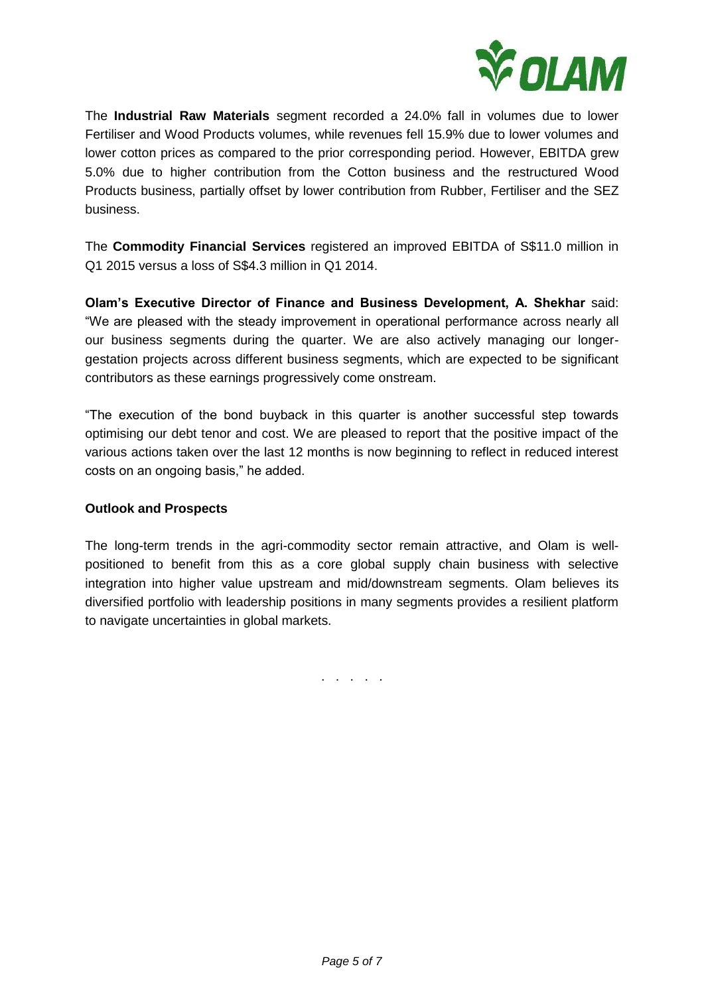

The **Industrial Raw Materials** segment recorded a 24.0% fall in volumes due to lower Fertiliser and Wood Products volumes, while revenues fell 15.9% due to lower volumes and lower cotton prices as compared to the prior corresponding period. However, EBITDA grew 5.0% due to higher contribution from the Cotton business and the restructured Wood Products business, partially offset by lower contribution from Rubber, Fertiliser and the SEZ business.

The **Commodity Financial Services** registered an improved EBITDA of S\$11.0 million in Q1 2015 versus a loss of S\$4.3 million in Q1 2014.

**Olam's Executive Director of Finance and Business Development, A. Shekhar** said: "We are pleased with the steady improvement in operational performance across nearly all our business segments during the quarter. We are also actively managing our longergestation projects across different business segments, which are expected to be significant contributors as these earnings progressively come onstream.

"The execution of the bond buyback in this quarter is another successful step towards optimising our debt tenor and cost. We are pleased to report that the positive impact of the various actions taken over the last 12 months is now beginning to reflect in reduced interest costs on an ongoing basis," he added.

## **Outlook and Prospects**

The long-term trends in the agri-commodity sector remain attractive, and Olam is wellpositioned to benefit from this as a core global supply chain business with selective integration into higher value upstream and mid/downstream segments. Olam believes its diversified portfolio with leadership positions in many segments provides a resilient platform to navigate uncertainties in global markets.

. . . . .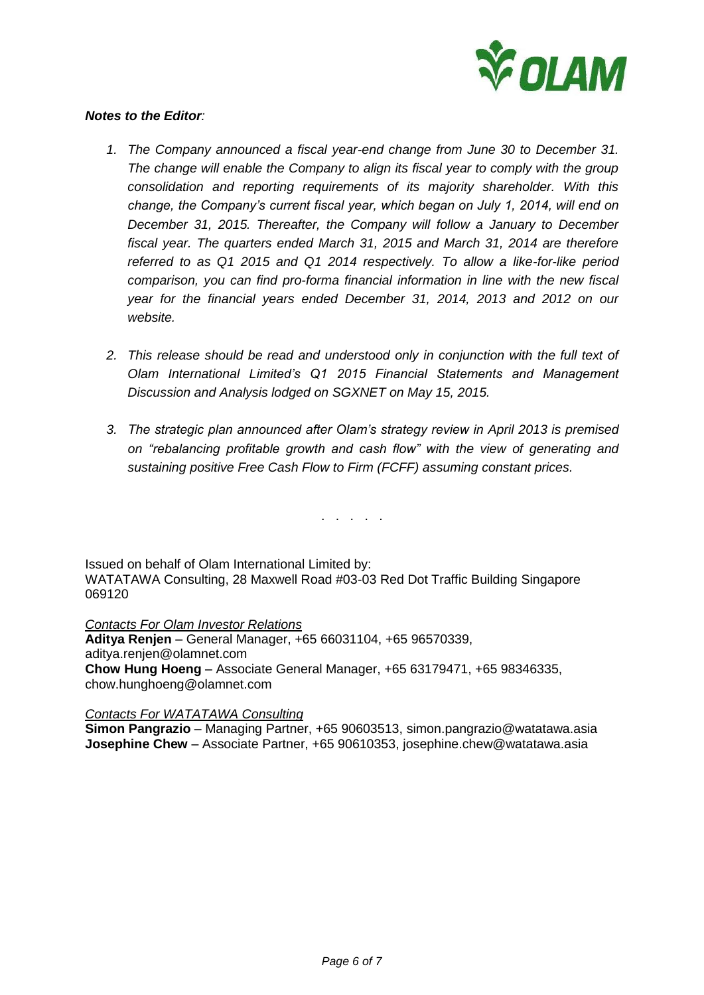

## *Notes to the Editor:*

- *1. The Company announced a fiscal year-end change from June 30 to December 31. The change will enable the Company to align its fiscal year to comply with the group consolidation and reporting requirements of its majority shareholder. With this change, the Company's current fiscal year, which began on July 1, 2014, will end on December 31, 2015. Thereafter, the Company will follow a January to December fiscal year. The quarters ended March 31, 2015 and March 31, 2014 are therefore referred to as Q1 2015 and Q1 2014 respectively. To allow a like-for-like period comparison, you can find pro-forma financial information in line with the new fiscal year for the financial years ended December 31, 2014, 2013 and 2012 on our website.*
- *2. This release should be read and understood only in conjunction with the full text of Olam International Limited's Q1 2015 Financial Statements and Management Discussion and Analysis lodged on SGXNET on May 15, 2015.*
- *3. The strategic plan announced after Olam's strategy review in April 2013 is premised on "rebalancing profitable growth and cash flow" with the view of generating and sustaining positive Free Cash Flow to Firm (FCFF) assuming constant prices.*

. . . . .

Issued on behalf of Olam International Limited by: WATATAWA Consulting, 28 Maxwell Road #03-03 Red Dot Traffic Building Singapore 069120

*Contacts For Olam Investor Relations* **Aditya Renjen** – General Manager, +65 66031104, +65 96570339, [aditya.renjen@olamnet.com](mailto:aditya.renjen@olamnet.com) **Chow Hung Hoeng** – Associate General Manager, +65 63179471, +65 98346335, [chow.hunghoeng@olamnet.com](mailto:chow.hunghoeng@olamnet.com)

### *Contacts For WATATAWA Consulting*

**Simon Pangrazio** – Managing Partner, +65 90603513, [simon.pangrazio@watatawa.asia](mailto:simon.pangrazio@watatawa.asia) **Josephine Chew** – Associate Partner, +65 90610353, [josephine.chew@watatawa.asia](mailto:josephine.chew@watatawa.asia)